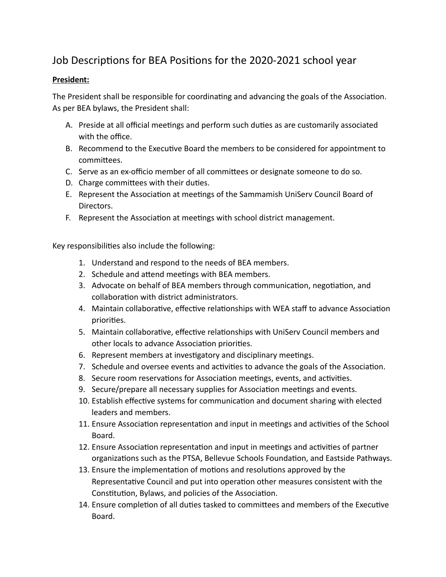# Job Descriptions for BEA Positions for the 2020-2021 school year

### **President:**

The President shall be responsible for coordinating and advancing the goals of the Association. As per BEA bylaws, the President shall:

- A. Preside at all official meetings and perform such duties as are customarily associated with the office.
- B. Recommend to the Executive Board the members to be considered for appointment to committees.
- C. Serve as an ex-officio member of all committees or designate someone to do so.
- D. Charge committees with their duties.
- E. Represent the Association at meetings of the Sammamish UniServ Council Board of Directors.
- F. Represent the Association at meetings with school district management.

- 1. Understand and respond to the needs of BEA members.
- 2. Schedule and attend meetings with BEA members.
- 3. Advocate on behalf of BEA members through communication, negotiation, and collaboration with district administrators.
- 4. Maintain collaborative, effective relationships with WEA staff to advance Association priorities.
- 5. Maintain collaborative, effective relationships with UniServ Council members and other locals to advance Association priorities.
- 6. Represent members at investigatory and disciplinary meetings.
- 7. Schedule and oversee events and activities to advance the goals of the Association.
- 8. Secure room reservations for Association meetings, events, and activities.
- 9. Secure/prepare all necessary supplies for Association meetings and events.
- 10. Establish effective systems for communication and document sharing with elected leaders and members.
- 11. Ensure Association representation and input in meetings and activities of the School Board.
- 12. Ensure Association representation and input in meetings and activities of partner organizations such as the PTSA, Bellevue Schools Foundation, and Eastside Pathways.
- 13. Ensure the implementation of motions and resolutions approved by the Representative Council and put into operation other measures consistent with the Constitution, Bylaws, and policies of the Association.
- 14. Ensure completion of all duties tasked to committees and members of the Executive Board.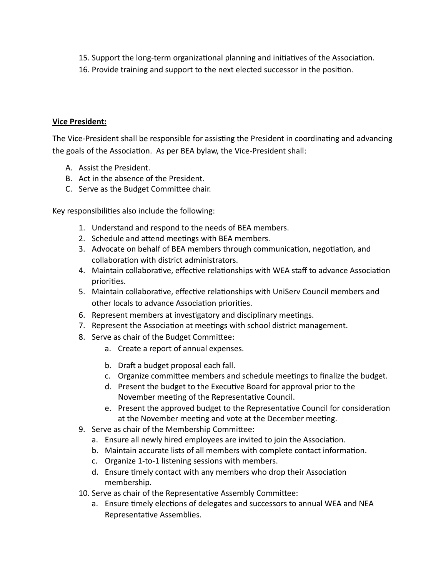- 15. Support the long-term organizational planning and initiatives of the Association.
- 16. Provide training and support to the next elected successor in the position.

## **Vice President:**

The Vice-President shall be responsible for assisting the President in coordinating and advancing the goals of the Association. As per BEA bylaw, the Vice-President shall:

- A. Assist the President.
- B. Act in the absence of the President.
- C. Serve as the Budget Committee chair.

- 1. Understand and respond to the needs of BEA members.
- 2. Schedule and attend meetings with BEA members.
- 3. Advocate on behalf of BEA members through communication, negotiation, and collaboration with district administrators.
- 4. Maintain collaborative, effective relationships with WEA staff to advance Association priorities.
- 5. Maintain collaborative, effective relationships with UniServ Council members and other locals to advance Association priorities.
- 6. Represent members at investigatory and disciplinary meetings.
- 7. Represent the Association at meetings with school district management.
- 8. Serve as chair of the Budget Committee:
	- a. Create a report of annual expenses.
	- b. Draft a budget proposal each fall.
	- c. Organize committee members and schedule meetings to finalize the budget.
	- d. Present the budget to the Executive Board for approval prior to the November meeting of the Representative Council.
	- e. Present the approved budget to the Representative Council for consideration at the November meeting and vote at the December meeting.
- 9. Serve as chair of the Membership Committee:
	- a. Ensure all newly hired employees are invited to join the Association.
	- b. Maintain accurate lists of all members with complete contact information.
	- c. Organize 1-to-1 listening sessions with members.
	- d. Ensure timely contact with any members who drop their Association membership.
- 10. Serve as chair of the Representative Assembly Committee:
	- a. Ensure timely elections of delegates and successors to annual WEA and NEA Representative Assemblies.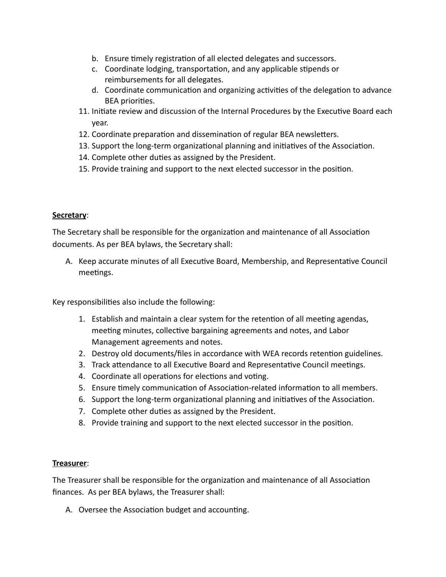- b. Ensure timely registration of all elected delegates and successors.
- c. Coordinate lodging, transportation, and any applicable stipends or reimbursements for all delegates.
- d. Coordinate communication and organizing activities of the delegation to advance **BEA** priorities.
- 11. Initiate review and discussion of the Internal Procedures by the Executive Board each year.
- 12. Coordinate preparation and dissemination of regular BEA newsletters.
- 13. Support the long-term organizational planning and initiatives of the Association.
- 14. Complete other duties as assigned by the President.
- 15. Provide training and support to the next elected successor in the position.

#### **Secretary** :

The Secretary shall be responsible for the organization and maintenance of all Association documents. As per BEA bylaws, the Secretary shall:

A. Keep accurate minutes of all Executive Board, Membership, and Representative Council meetings.

Key responsibilities also include the following:

- 1. Establish and maintain a clear system for the retention of all meeting agendas, meeting minutes, collective bargaining agreements and notes, and Labor Management agreements and notes.
- 2. Destroy old documents/files in accordance with WEA records retention guidelines.
- 3. Track attendance to all Executive Board and Representative Council meetings.
- 4. Coordinate all operations for elections and voting.
- 5. Ensure timely communication of Association-related information to all members.
- 6. Support the long-term organizational planning and initiatives of the Association.
- 7. Complete other duties as assigned by the President.
- 8. Provide training and support to the next elected successor in the position.

#### **Treasurer** :

The Treasurer shall be responsible for the organization and maintenance of all Association finances. As per BEA bylaws, the Treasurer shall:

A. Oversee the Association budget and accounting.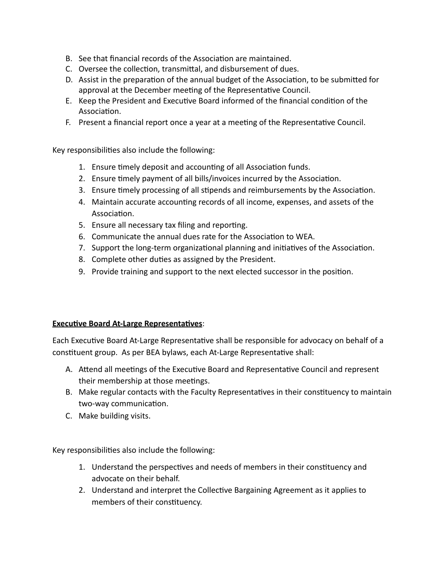- B. See that financial records of the Association are maintained.
- C. Oversee the collection, transmittal, and disbursement of dues.
- D. Assist in the preparation of the annual budget of the Association, to be submitted for approval at the December meeting of the Representative Council.
- E. Keep the President and Executive Board informed of the financial condition of the Association.
- F. Present a financial report once a year at a meeting of the Representative Council.

Key responsibilities also include the following:

- 1. Ensure timely deposit and accounting of all Association funds.
- 2. Ensure timely payment of all bills/invoices incurred by the Association.
- 3. Ensure timely processing of all stipends and reimbursements by the Association.
- 4. Maintain accurate accounting records of all income, expenses, and assets of the Association.
- 5. Ensure all necessary tax filing and reporting.
- 6. Communicate the annual dues rate for the Association to WEA.
- 7. Support the long-term organizational planning and initiatives of the Association.
- 8. Complete other duties as assigned by the President.
- 9. Provide training and support to the next elected successor in the position.

# **Executive Board At-Large Representatives:**

Each Executive Board At-Large Representative shall be responsible for advocacy on behalf of a constituent group. As per BEA bylaws, each At-Large Representative shall:

- A. Attend all meetings of the Executive Board and Representative Council and represent their membership at those meetings.
- B. Make regular contacts with the Faculty Representatives in their constituency to maintain two-way communication.
- C. Make building visits.

- 1. Understand the perspectives and needs of members in their constituency and advocate on their behalf.
- 2. Understand and interpret the Collective Bargaining Agreement as it applies to members of their constituency.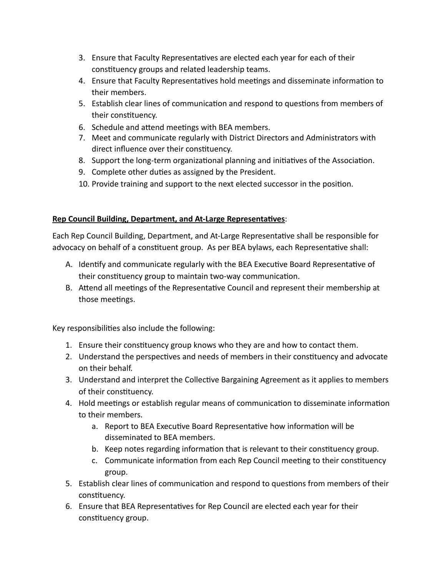- 3. Ensure that Faculty Representatives are elected each year for each of their constituency groups and related leadership teams.
- 4. Ensure that Faculty Representatives hold meetings and disseminate information to their members.
- 5. Establish clear lines of communication and respond to questions from members of their constituency.
- 6. Schedule and attend meetings with BEA members.
- 7. Meet and communicate regularly with District Directors and Administrators with direct influence over their constituency.
- 8. Support the long-term organizational planning and initiatives of the Association.
- 9. Complete other duties as assigned by the President.
- 10. Provide training and support to the next elected successor in the position.

# **Rep Council Building, Department, and At-Large Representatives:**

Each Rep Council Building, Department, and At-Large Representative shall be responsible for advocacy on behalf of a constituent group. As per BEA bylaws, each Representative shall:

- A. Identify and communicate regularly with the BEA Executive Board Representative of their constituency group to maintain two-way communication.
- B. Attend all meetings of the Representative Council and represent their membership at those meetings.

- 1. Ensure their constituency group knows who they are and how to contact them.
- 2. Understand the perspectives and needs of members in their constituency and advocate on their behalf.
- 3. Understand and interpret the Collective Bargaining Agreement as it applies to members of their constituency.
- 4. Hold meetings or establish regular means of communication to disseminate information to their members.
	- a. Report to BEA Executive Board Representative how information will be disseminated to BEA members.
	- b. Keep notes regarding information that is relevant to their constituency group.
	- c. Communicate information from each Rep Council meeting to their constituency group.
- 5. Establish clear lines of communication and respond to questions from members of their constituency.
- 6. Ensure that BEA Representatives for Rep Council are elected each year for their constituency group.